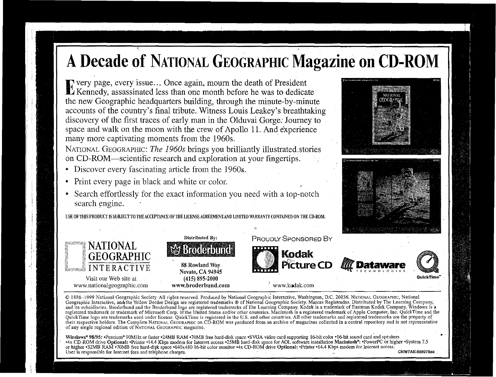Every page, every issue ... Once again, mourn the death of President Kennedy, assassinated less than one month before he was to dedicate the new Geographic headquarters building, through the minute-by-minute accounts of the country's final tribute. Witness Louis Leakey's breathtaking discovery of the first traces of early man in the Olduvai Gorge. Journey to space and walk on the moon with the crew of Apollo 11. And experience many more captivating moments from the 1960s.

NATIONAL GEOGRAPHIC: *The 1960s* brings you brilliantly illustrated.stories on CD-ROM-scientific research and exploration at your fingertips.

- Discover every fascinating article from the 1960s.
- Print every page in black and white or color.
- Search effortlessly for the exact information you need with a top-notch search engine.

USE OFTHIS PRODUCT IS SUBJECT TO THE ACCEPTANCE OF THE LICENSEAGREEMENIAND LIMITED WARRANTY CONTAINED ON THE CD-ROM.









• www.kodak.com

© 1888-1999 National Geographic Society. All rights reserved. Produced by National Geographic Interactive, Washington, D.C. 20036. NATJONAL GEOGRAPHIC, National Geographic Interactive, and. the Yellow Border Design are registered trademarks ® of National Geographic Society. Marcas Registradas. Distributed by The Learning Company, and its subsidiaries. Broderbund and the Broderbund logo are registered trademarks of The Learning Company. Kodak is a trademark of Eastman Kodak Company. Windows is a registered trademark or trademark of Microsoft Corp. in the United States and/or other countries. Macintosh is a registered trademark of Apple Computer, Inc. QuickTime and the QuickTime logo are trademarks used under license. QuickTime is registered in the U.S. and other countries. All other trademarks and registered trademarks are the property of their respective holders. The Complete NATIONAL GEOGRAPHIC on CD-ROM was produced from an archive of magazines collected in a central repository and is not representative of any single regional edition of NATIONAL GEOGRAPHIC magazine. User 1988-1992 11 N 1 D N N C 1 I V D Novato, CA 94946<br>
Witst curve with the same of the hand distribution of the hand selection with the same registered interactive, Washington, D.C. 20036. NATIONAL GEOGRAPHIC, National<br>

.,;,

Windows® 98/95: •Pentium® 90MHz or faster •24MB RAM •70MB free hard-disk space •SVGA video card supporting 16-bit color •16-bit sound card and speakers <sup>•4x</sup> CD-ROM drive Optional: •Printer •14.4 Kbps modem for Internet access •25MB hard-disk space for AOL software installation Macintosh<sup>®</sup>: •PowerPC or higher •System 7.5 or higher •32MB RAM •70MB free hard-disk space •640x480 16-bit color monitor •4x CD-ROM drive Optional: •Printer •14.4 Kbps modem for Internet access.<br>User is responsible for Internet fees and telephone charges.



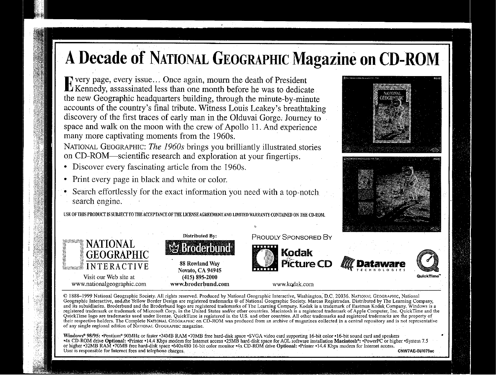Every page, every issue ... Once again, mourn the death of President Kennedy, assassinated less than one month before he was to dedicate the new Geographic headquarters building, through the minute-by-minute accounts of the country's final tribute. Witness Louis Leakey's breathtaking discovery of the first traces of early man in the Olduvai Gorge. Journey to space and walk on the moon with the crew of Apollo 11. And experience many more captivating moments from the 1960s.

NATIONAL GEOGRAPHIC: *The 1960s* brings you brilliantly illustrated. stories on CD-ROM—scientific research and exploration at your fingertips.

- Discover every fascinating article from the 1960s.
- Print every page in black and white or color.
- Search effortlessly for the exact information you need with a top-notch search engine.

USE OF THIS PRODUCT IS SUBJECT TO THE ACCEPTANCE OF THE LICENSE AGREEMENT AND LIMITED WARRANTY CONTAINED ON THE CD-ROM





Novato, CA94945 (415) 895-2000 www.broderbund.com





www.kodak.com

© 1888-1999 National Geographic Society; All rights reserved. Produced by National Geographic Interactive, Washington," D.C. 20036. NATIONAL GEOGRAPHIC, National Geographic Interactive, and.the Yellow Border Design are registered trademarks ® of National Geographic Society. Marcas Registradas. Distributed by The Learning Company, and its subsidiaries. Broderbund and the Broderbund logo are registered trademarks of The Learning Company. Kodak is a trademark of Eastman Kodak Company. Windows is a registered trademark or trademark of Microsoft Corp. in the United States andlor other countries. Macintosh is a registered trademark of Apple Computet, Inc. QuickTime and the QuickTime logo are trademarks used under license. QuickTime is registered in the U.S. and other countries. All other trademarks and registered trademarks are the property of their respective holders. The Complete NATIONAL GEOGRAPHIC on CD-ROM was produced from an archive of magazines collected in a central repository and is not representative of any single regional edition of NATIONAL GEOGRAPHIC magazine.

,

Windows<sup>®</sup> 98/95: •Pentium<sup>®</sup> 90MHz or faster •24MB RAM •70MB free hard-disk space •SVGA video card supporting 16-bit color •16-bit sound card and speakers •System 7.5<br>•4x CD-ROM drive Optional: •Printer •14.4 Kbps modem f or higher •32MB RAM •70MB free hard-disk space •640x480 16-bit color monitor •4x CD-ROM drive Optional: •Printer •14.4 Kbps modem for Internet access.<br>User is responsible for Internet fees and telephone charges. CNW7AE-BU0 User is responsible for Internet fees and telephone charges.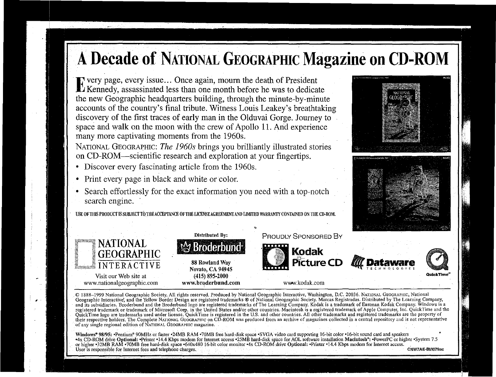Every page, every issue ... Once again, mourn the death of President Kennedy, assassinated less than one month before he was to dedicate the new Geographic headquarters building, through the minute-by-minute accounts of the country's final tribute. Witness Louis Leakey's breathtaking discovery of the first traces of early man in the Olduvai Gorge. Journey to space and walk on the moon with the crew of Apollo 11. And experience many more captivating moments from the 1960s.

NATIONAL GEOGRAPHIC: *The 1960s* brings you brilliantly illustrated stories on CD-ROM—scientific research and exploration at your fingertips.

- Discover every fascinating article from the 1960s.
- Print every page in black and white or color.
- Search effortlessly for the exact information you need with a top-notch search engine.

USE OF THIS PRODUCT IS SUBJECT TO THE ACCEPTANCE OF THE LICENSE AGREEMENT AND LIMITI





88Rowland Way Novato, CA94945 (415) 895-2000 www.broderbund.com



www.kodak.com





© 1888:-1999 NationalGeographic Society, All rights reserved; Produced by National Geographic Interactive, Washington, D.C. 20036. NATIONAL GEOGRAPHIC, National Geographic Interactive; and the Yellow Border Design are registered trademarks ® of National Geographic Society. Marcas Registradas. Distributed by The Learning Company, and its subsidiaries. Broderbund and the Broderbund logo are registered trademarks of The Learning Company. Kodak is a trademark of Eastman Kodak Company. Windows is a registered trademark or trademark of Microsoft Corp. in the United States and/or other countries. Macintosh is a registered trademark of Apple Computer, Inc. QuickTime and the QuickTime logo are trademarks used under license. QuickTime.is registered in the U.S. and other countries. All other trademarks and registered trademarks are the property of their respective holders. The Complete NATIONAL GEOGRAPHIC on CD-ROM was produced from an archive of magazines collected in a central repository and is not representative of any single regional edition of NATIONAL GEOGRAPHIC magazine.

Windows® 98/95: •Pentium® 90MHz or faster •24MB RAM •70MB free hard-disk space •SVGA video card supporting 16-bit color •16-bit sound card and speakers 4x CD-ROM drive Optional: "Printer \*14.4 Kbps modem for Internet access \*25MB hard-disk space for AOL software installation Macintosh\*: "PowerPC or higher "System 7.5" or higher •32MB RAM •70MB free hard-disk space •640x480 16-bit color monitor •4x CD-ROM drive Optional: •Printer •14.4 Kbps modem for Internet access. User is responsible for Internet fees and telephone charges; CNW7AE-Blfl079ac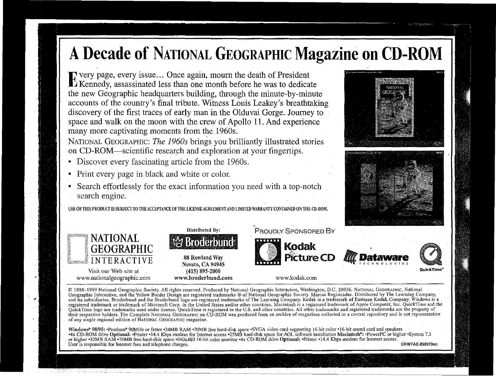Every page, every issue ... Once again, mourn the death of President · Kennedy, assassinated less than one month before he was to dedicate the new Geographic headquarters building, through the minute-by-minute accounts of the country's final tribute. Witness Louis Leakey's breathtaking discovery of the first traces of early man in the Olduvai Gorge. Journey to space and walk on the moon with the crew of Apollo 11. And experience many more captivating moments from the 1960s.

NATIONAL GEOGRAPHIC: *The 1960s* brings you brilliantly illustrated stories on CD-ROM—scientific research and exploration at your fingertips.

- Discover every fascinating article from the 1960s.
- Print every page in black and white or color.
- Search effortlessly for the exact information you need with a top-notch search engine.

USE OF THIS PRODUCT IS SUBJECT TO THE ACCEPTANCE OF THE LICENSE AGREEMENT AND LIMITED WARRANTY CONTAINED ON THE CD-RO





88 Rowland Way Novato, CA 94945 (415) 895-2000 wwvv.broderbund.com







www.kodak.com

Picture C

© 1888-1999.National Geographic Society. All rights reserved. Produced by National Geographic Interactive, Washington, D.C. 20036. NATIONAL GEOGRAPHIC, National Geographic Interactive, and the Yellow Border Design are registered trademarks ® of National Geographic Society. Marcas Registradas. Distributed by The Learning Company, and its subsidiaries. Broderbund and the Broderbund logo are registered trademarks of The Learning Company. Kodak is a trademark of Eastman Kodak Company. Windows is a registered trademark or trademark of Microsoft Corp. in the United States and/or other countries. Macintosh is a registered 'trademark of Apple Computet, Inc. QuickTime and the QuickTime logo are trademarks used under license. QuickTime is registered in the US. and other countries. All other trademarks and registered trademarks are the property of their respective holders. The Complete NATIONAL GEOGRAPHIC on CD-ROM was produced from an archive of magazines collected in a central repository and is not representative of any single regional edition of NATIONAL GEOGRAPHIC magazine.

Windows® 98/95: •Pentium® 90MHz or faster •24MB RAM •70MB free hard-disk space •SVGA video card supporting 16-bit color •16-bit sound card and speakers -4x CD~ROM drive Optional: -Printer -14.4 Kbps modem for Internet access -25MB hard-disk space for AOL software installation Macintosh"; -Powerl'C or higher -System 7.5 or higher •32MB RAM •70MB free hard-disk space •640x480 16-bit color monitor •4x CD-ROM drive Optional: •Printer •14.4 Kbps modem for Internet access. User is responsible for Internet fees and telephone charges. The contract of the contract of the contract of the contract of the contract of the contract of the contract of the contract of the contract of the contract of t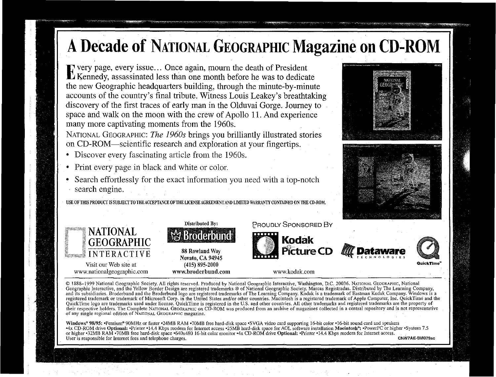Every page, every issue ... Once again, mourn the death of President Kennedy, assassinated less than one month before he was to dedicate the new Geographic headquarters building, through the minute-by-minute accounts of the country's final tribute. Witness Louis Leakey's breathtaking discovery of the first traces of early man in the Olduvai Gorge. Journey to space and walk on the moon with the crew of Apollo 11. And experience many more captivating moments from the 1960s.

NATIONAL GEOGRAPHIC: *The 1960s* brings you brilliantly illustrated stories on CD-ROM—scientific research and exploration at your fingertips.

- Discover every fascinating article from the 1960s.
- Print every page in black and white or color.
- Search effortlessly for the exact information you need with a top-notch search engine.

USE OF THIS PRODUCT IS SUBJECT TO THE ACCEPTANCE OF THE LICENSE AGREEMENT AND LIMTED WARRANTY CONTAINED ON THE CD-ROM





Novato, CA94945 (415) 895-2000 www.broderbund.com





www.kodak.com

© 1888-1999 National Geographic Society. All rights reserved. Produced by National Geographic Interactive, Washington, D.C. 20036. NATIONAL GEOGRAPHIC, National Geographic Interactive, and the Yellow Border Design are registered trademarks ® of National Geographic Society. Marcas Registradas. Distributed by The Learning Company, and its subsidiaries. Broderbund and the Broderbund logo are registered trademarks of The Learning Company. Kodak is a trademark of Eastman Kodak Company. Windows is a registered trademark or trademark of Microsoft Corp. in the United States and/or other countries. Macintosh is a registered trademark ofApple Computet, Inc. QuickTime and the QuickTime logo are trademarks used under license. QuickTime is registered in the U.S. and other countries. All other trademarks and registered trademarks are the property of their respective holders. The Complete NATIONAL GEOGRAPHIC on CD-ROM was produced from an archive of magazines collected in a central repository and is not representative of any single regional edition of NATiONAL GEOGRAPHIC magazine.

Windows® 98/95: •Pentium® 90MHz or faster •24MB RAM •70MB free hard-disk space •SVGA video card supporting 16-bit color •16-bit sound card and speakers -4x CD-ROM drive Optional: -Printer -14.4 Kbps modem for Internet access -25MB hard-disk space for AOL software installation Macintosh"; -Powerf'C or higher -System 7.5 or higher -32MB RAM -70MB free hard-disk space -640x480 16-bit color monitor -4x CD-ROM drive Optional: -Printer -14.4 Kbps modem for Internet access. User is responsible for Internet fees and telephone charges. CNW7AE-BIII079ac





**QuickTime**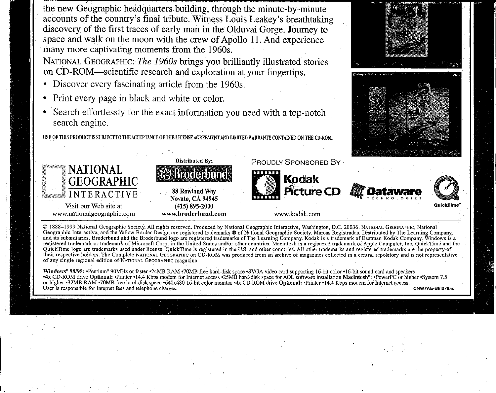7 the new Geographic headquarters building, through the minute-by-minute accounts of the country's final tribute. Witness Louis Leakey's breathtaking discovery of the first traces of early man in the Olduvai Gorge. Journey to space and walk on the moon with the crew of Apollo 11. And experience many more captivating moments from the 1960s.

NATIONAL GEOGRAPHIC: *The 1960s* brings you brilliantly illustrated stories on CD-ROM—scientific research and exploration at your fingertips.

- Discover every fascinating article from the 1960s.
- Print every page in black and white or color.

l

• Search effortlessly for the exact information you need with a top-notch search engine.

USE OF TIllS PRODUCT IS SUBJECT TO THE ACCEPTANCE OF TIlE LICENSE AGREEMENT.AND mUTED WARRANTY CONTAINED ON THE CD·ROM.



© 1888-1999 National Geographic Society. All rights reserved. Produced by National Geographic Interactive, Washington, D.C. 20036. NATIONAL GEOGRAPHIC, National Geographic Interactive, and the Yellow Border Design are registered trademarks ® of National Geographic Society. Marcas Registradas. Distributed by The Learning Company, and its subsidiaries. Broderbund and the Broderbund logo are registered trademarks ofThe Learning Company. Kodak is a trademark of Eastman Kodak Company. Windows is a registered trademark or trademark of Microsoft Corp. in the United States and/or other countries. Macintosh is a registered trademark of Apple Computet, Inc. Quick'I'ime and the QuickTime logo are trademarks used under license. QuickTime is registered in the u.s. and other countries. All other trademarks and registered trademarks are the property of their respective holders. The Complete NATIONAL GEOGRAPHIC on CD-ROM was produced from an archive of magazines collected in a central repository and is not representative of any single regional edition of.NATIONAL GEOGRAPHIC magazine.

Windows® 98/95: •Pentium® 90MHz or faster •24MB RAM •70MB free hard-disk space •SVGA video card supporting 16-bit color •16-bit sound card and speakers -4x CD-ROM drive Optional: -Printer -14.4 Kbps modem for Internet access -25MB hard-disk space for AOL software installation Macintosh"; -Powerl'C or higher -System 7.5 or higher -32MB RAM -70MB free hard-disk space -640x480 16-bit color monitor -4x CD-ROM drive Optional: -Printer -14.4 Kbps modem for Internet access. User is responsible for Internet fees and telephone charges. CNW7AE-BIII079ac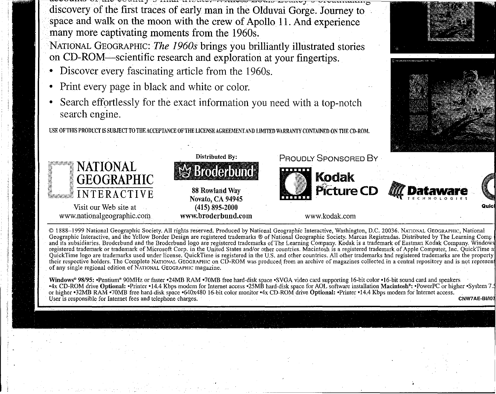-.--'-'.- , -- \_.....-"..... <sup>J</sup> .:~ ,L · -.....·· "" - \_.·.-·---..--.--m~~"-:" ~o ~--<,;i; *J.* OJ ,.,. ""0 discovery of the first traces of early man in the Olduvai Gorge. Journey to space and walk on the moon with the crew of Apollo 11. And experience many more captivating moments from the 1960s.

NATI0NAL GEOGRAPHIC: *The 1960s* brings you brilliantly illustrated stories on CD-ROM-scientific research and exploration at your fingertips.

- Discover every fascinating article from the 1960s.
- Print every page in black and white or color.
- Search effortlessly for the exact information you need with a top-notch search engine.

USE OF THIS PRODUCT IS SUBJECTTO THE ACCEPTANCE OF THE LICENSEAGREEMENTAND LIMITED WARRANTY CONTAINED ON THE CD-ROM.



© 1888-1999 National Geographic Society. All rights reserved. Produced by Natioual Geographic Iuteractive, Washiugtou, D.C. 20036. NATIONAL GEOGRAPHIC, Natioual Geographic Interactive, and the Yellow Border Design are registered trademarks ® of National Geographic Society. Marcas Registradas. Distributed by The Learning Cornp and its subsidiaries. Broderbund and the Broderbund logo are registered trademarks of The Learning Company. Kodak is a trademark of Eastman Kodak Company. Window registered trademark or trademark of Microsoft Corp. in the United States and/or other countries. Macintosh is a registered trademark of Apple Computer, Inc. QuickTime a QuickTime logo are trademarks used under license. QuickTime is registered in the U.S. and other countries. All other trademarks and registered trademarks are the property their respective holders. The Complete NATIONAL GEOGRAPHIC on CD-ROM was produced, from an archive of magazines collected in a central repository and is not represen of any single regional edition of NATIONAL GEOGRAPHIC magazine.

Windows" 98/95: -Pentium" 90MHz or faster -24MB RAM -70MB free hard-disk space -SVGA video card supporting 16-bit color -16-bit souud card and speakers -4x CD-ROM drive Optioual: -Printer -14.4 Kbps modem for Internet access -25MB hard-disk space for AOL software installation Macintosh": -Powerl'C or higher -System 7. or higher •32MB RAM •70MB free hard-disk space •640x480 16-bit color monitor •4x CD-ROM drive Optional: •Printer •14.4 Kbps modem for Internet access. User is responsible for Internet fees and telephone charges. CNW7AE-BIIO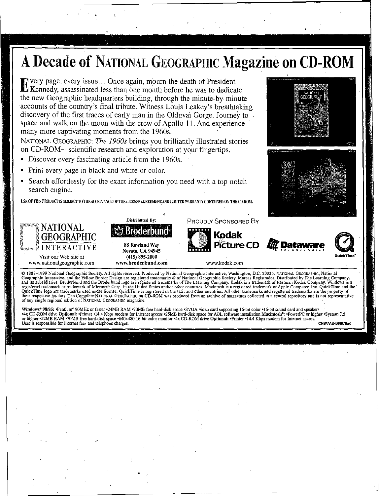.Every page, every issue... Once again, mourn the death of President Kennedy, assassinated less than one month before he was to dedicate the new Geographic headquarters building, through the minute-by-minute accounts of the country's final tribute. Witness Louis Leakey's breathtaking discovery of the first traces of early man in the Olduvai Gorge. Journey to space and walk on the moon with the crew of Apollo 11. And experience many more captivating moments from the 1960s.

NATIONAL GEOGRAPHIC: *The 1960s* brings you brilliantly illustrated stories on CD-ROM-scientific research and exploration at your fingertips.

- Discover every fascinating article from the 1960s.
- Print every page in black and white or color.
- Search effortlessly for the exact information you need with a top-notch
- search engine.

USE OFTHIS PRODUCf ISSUBJECfTOTHEACCEPTANCE OFTIJE LICENSE AGREEMENrAND LIMITED WARRANTY CONTAINED ON THE CD·ROM.

**Distributed By:** 



**VisitourWeb site at www.nationalgeographic.com**



www.brodcrbund.com

•

**www.kodak.com**

'PROUDLY SPONSORED By

**Kodak**

**PiCture CD ."Dataware**

**QulckTlme'"**

J

**D'ATAWAFE** 

C 1888–1999 National Geographic Society. All rights reserved. Produced by National Geographic Interactive, Washington, D.C. 20036. NATIONAL GEOGRAPHIC, National Geographic Interactive, and the Yellow Border Design are regi **of any single regional edition of NATIONAL GEOGRAPHIC magazine,**

Windows® 98/95: •Pentium® 90MHz or faster •24MB RAM •70MB free hard-disk space •SVGA video card supporting 16-bit color •16-bit sound card and speakers 4X CD-ROM drive Optional: •Printer •14.4 Kbps modem for Internet access •25MB hard-disk space for AOL software installation Macintosh\*: •PowerPC or higher •System 7.5<br>or higher •32MB RAM •70MB free hard-disk space •640x480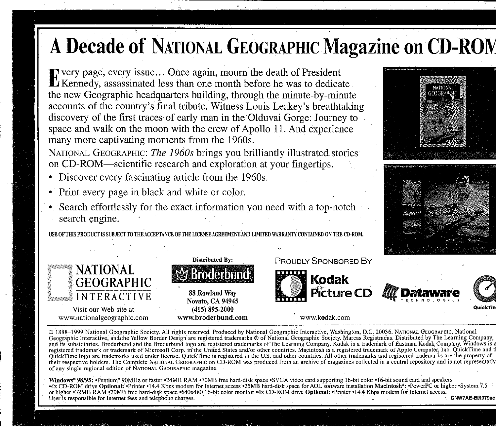Every page, every issue ... Once again, mourn the death of President Kennedy, assassinated less than one month before he was to dedicate the new Geographic headquarters building, through the minute-by-minute accounts of the country's final tribute. Witness Louis Leakey's breathtaking discovery of the first traces of early man in the Olduvai Gorge: Journey to space and walk on the moon with the crew of Apollo 11. And experience many more captivating moments from the 1960s.

NATIONAL GEOGRAPHIC: *The 1960s* brings you brilliantly illustrated. stories on CD-ROM—scientific research and exploration at your fingertips.

- Discover every fascinating article from the 1960s.
- Print every page in black and white or color.
- Search effortlessly for the exact information you need with a top-notch search engine,

USE OFTHIS PRODUCf IS SUBJECfTO TllEACCEPTANCE OFTRE LICENSEAGREEMENTAND LIMITED WARRANTY CONTAINED ON THE CD-ROM.





88Rowland Way Novato, CA94945 (415) 895-2000 www.broderbund.com PROUDLY SPONSORED By



**WE DATAWARE** 



www.kedak.corn

© 1888-1999 National Geographic Society. All rights reserved. Produced by National Geographic Interactive, Washington, D.C. 20036. NATIONAL GEOGRAPHIC, National Geographic Interactive; and-the Yellow Border Design are registered trademarks ® of National Geographic Society. Mareas Registradas. Distributed by The Learning Company, and its subsidiaries. Broderbund and the Broderbund logo are registered trademarks ofThe Learning Company. Kodak is a trademark of Eastman Kodak Company. Windows is a registered trademark or trademark of Microsoft Corp. in the United States and/or other countries. Macintosh is a registered trademark of Apple Computer, Inc. QuickTime and tl<br>QuickTime logo are trademarks used under licens their respective holders. The Complete NATIONAL GEOGRAPHIC on CD-ROM was produced from an archive of magazines collected in a central repository and is not representativ of any single regional edition of NATIONAL GEOGRAPHIC magazine.

c;,

Windows® 98/95: •Pentium® 90MHz or faster •24MB RAM •70MB free hard-disk space •SVGA video card supporting 16-bit color •16-bit sound card and speakers +4x CD-ROM drive Optional: +Printer +14.4 Kbps modem for Internet access +25MB hard-disk space for AOL software installation Macintosh\*: +PowerPC or higher -System 7.5 or higher -32MB RAM -70MB free hard-disk space -640x480 16-bit color monitor -4x CD-ROM drive Optional: -Printer -14.4 Kbps modem for Internet access. User is responsible for Internet fees and telephone charges. . . \_. CNW7AE-BlII079ac